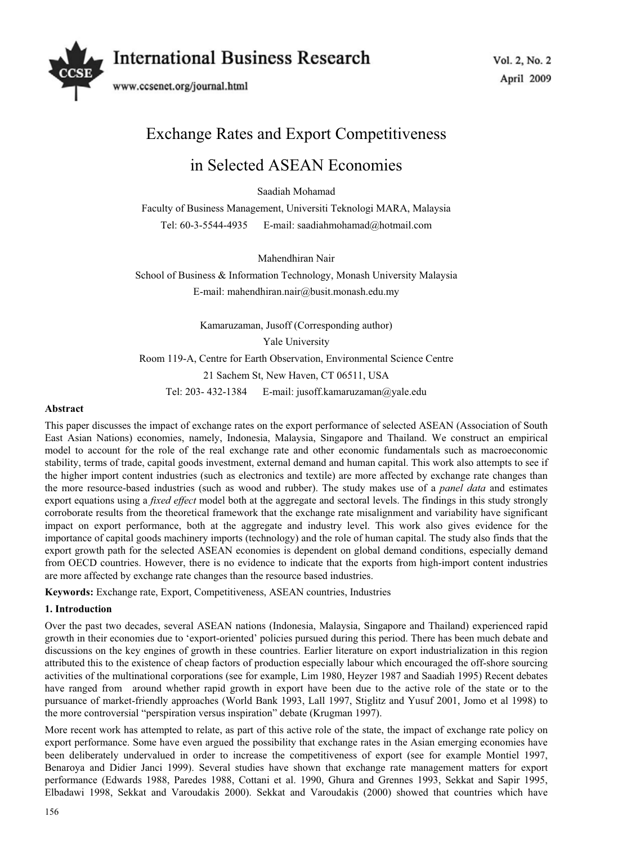

# Exchange Rates and Export Competitiveness

# in Selected ASEAN Economies

Saadiah Mohamad

Faculty of Business Management, Universiti Teknologi MARA, Malaysia Tel: 60-3-5544-4935 E-mail: saadiahmohamad@hotmail.com

Mahendhiran Nair

School of Business & Information Technology, Monash University Malaysia E-mail: mahendhiran.nair@busit.monash.edu.my

Kamaruzaman, Jusoff (Corresponding author) Yale University Room 119-A, Centre for Earth Observation, Environmental Science Centre 21 Sachem St, New Haven, CT 06511, USA Tel: 203- 432-1384 E-mail: jusoff.kamaruzaman@yale.edu

#### **Abstract**

This paper discusses the impact of exchange rates on the export performance of selected ASEAN (Association of South East Asian Nations) economies, namely, Indonesia, Malaysia, Singapore and Thailand. We construct an empirical model to account for the role of the real exchange rate and other economic fundamentals such as macroeconomic stability, terms of trade, capital goods investment, external demand and human capital. This work also attempts to see if the higher import content industries (such as electronics and textile) are more affected by exchange rate changes than the more resource-based industries (such as wood and rubber). The study makes use of a *panel data* and estimates export equations using a *fixed effect* model both at the aggregate and sectoral levels. The findings in this study strongly corroborate results from the theoretical framework that the exchange rate misalignment and variability have significant impact on export performance, both at the aggregate and industry level. This work also gives evidence for the importance of capital goods machinery imports (technology) and the role of human capital. The study also finds that the export growth path for the selected ASEAN economies is dependent on global demand conditions, especially demand from OECD countries. However, there is no evidence to indicate that the exports from high-import content industries are more affected by exchange rate changes than the resource based industries.

**Keywords:** Exchange rate, Export, Competitiveness, ASEAN countries, Industries

## **1. Introduction**

Over the past two decades, several ASEAN nations (Indonesia, Malaysia, Singapore and Thailand) experienced rapid growth in their economies due to 'export-oriented' policies pursued during this period. There has been much debate and discussions on the key engines of growth in these countries. Earlier literature on export industrialization in this region attributed this to the existence of cheap factors of production especially labour which encouraged the off-shore sourcing activities of the multinational corporations (see for example, Lim 1980, Heyzer 1987 and Saadiah 1995) Recent debates have ranged from around whether rapid growth in export have been due to the active role of the state or to the pursuance of market-friendly approaches (World Bank 1993, Lall 1997, Stiglitz and Yusuf 2001, Jomo et al 1998) to the more controversial "perspiration versus inspiration" debate (Krugman 1997).

More recent work has attempted to relate, as part of this active role of the state, the impact of exchange rate policy on export performance. Some have even argued the possibility that exchange rates in the Asian emerging economies have been deliberately undervalued in order to increase the competitiveness of export (see for example Montiel 1997, Benaroya and Didier Janci 1999). Several studies have shown that exchange rate management matters for export performance (Edwards 1988, Paredes 1988, Cottani et al. 1990, Ghura and Grennes 1993, Sekkat and Sapir 1995, Elbadawi 1998, Sekkat and Varoudakis 2000). Sekkat and Varoudakis (2000) showed that countries which have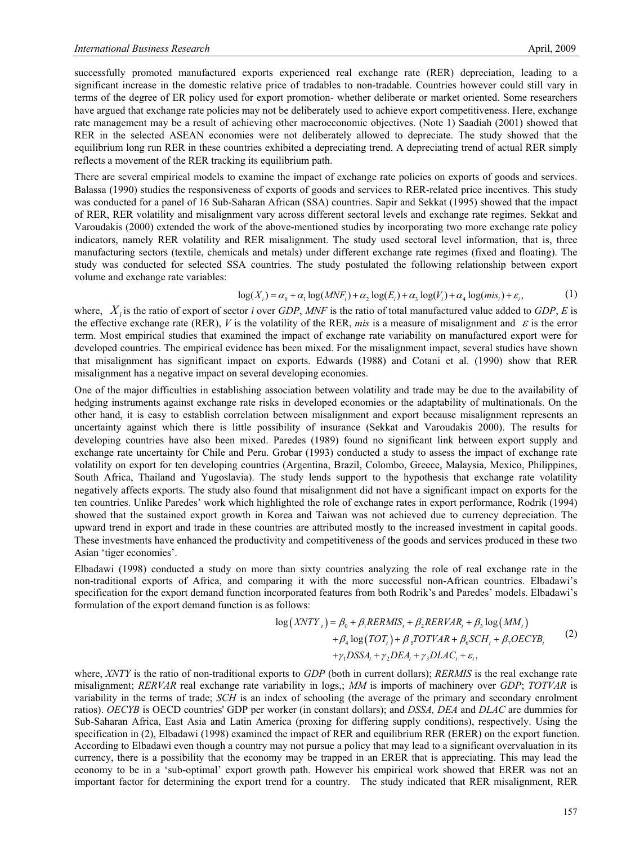successfully promoted manufactured exports experienced real exchange rate (RER) depreciation, leading to a significant increase in the domestic relative price of tradables to non-tradable. Countries however could still vary in terms of the degree of ER policy used for export promotion- whether deliberate or market oriented. Some researchers have argued that exchange rate policies may not be deliberately used to achieve export competitiveness. Here, exchange rate management may be a result of achieving other macroeconomic objectives. (Note 1) Saadiah (2001) showed that RER in the selected ASEAN economies were not deliberately allowed to depreciate. The study showed that the equilibrium long run RER in these countries exhibited a depreciating trend. A depreciating trend of actual RER simply reflects a movement of the RER tracking its equilibrium path.

There are several empirical models to examine the impact of exchange rate policies on exports of goods and services. Balassa (1990) studies the responsiveness of exports of goods and services to RER-related price incentives. This study was conducted for a panel of 16 Sub-Saharan African (SSA) countries. Sapir and Sekkat (1995) showed that the impact of RER, RER volatility and misalignment vary across different sectoral levels and exchange rate regimes. Sekkat and Varoudakis (2000) extended the work of the above-mentioned studies by incorporating two more exchange rate policy indicators, namely RER volatility and RER misalignment. The study used sectoral level information, that is, three manufacturing sectors (textile, chemicals and metals) under different exchange rate regimes (fixed and floating). The study was conducted for selected SSA countries. The study postulated the following relationship between export volume and exchange rate variables:

#### $log(X_i) = \alpha_0 + \alpha_1 log(MNF_i) + \alpha_2 log(E_i) + \alpha_3 log(V_i) + \alpha_4 log(mis_i) + \varepsilon_i,$  (1)

where, *Xi* is the ratio of export of sector *i* over *GDP*, *MNF* is the ratio of total manufactured value added to *GDP*, *E* is the effective exchange rate (RER), V is the volatility of the RER, mis is a measure of misalignment and  $\epsilon$  is the error term. Most empirical studies that examined the impact of exchange rate variability on manufactured export were for developed countries. The empirical evidence has been mixed. For the misalignment impact, several studies have shown that misalignment has significant impact on exports. Edwards (1988) and Cotani et al. (1990) show that RER misalignment has a negative impact on several developing economies.

One of the major difficulties in establishing association between volatility and trade may be due to the availability of hedging instruments against exchange rate risks in developed economies or the adaptability of multinationals. On the other hand, it is easy to establish correlation between misalignment and export because misalignment represents an uncertainty against which there is little possibility of insurance (Sekkat and Varoudakis 2000). The results for developing countries have also been mixed. Paredes (1989) found no significant link between export supply and exchange rate uncertainty for Chile and Peru. Grobar (1993) conducted a study to assess the impact of exchange rate volatility on export for ten developing countries (Argentina, Brazil, Colombo, Greece, Malaysia, Mexico, Philippines, South Africa, Thailand and Yugoslavia). The study lends support to the hypothesis that exchange rate volatility negatively affects exports. The study also found that misalignment did not have a significant impact on exports for the ten countries. Unlike Paredes' work which highlighted the role of exchange rates in export performance, Rodrik (1994) showed that the sustained export growth in Korea and Taiwan was not achieved due to currency depreciation. The upward trend in export and trade in these countries are attributed mostly to the increased investment in capital goods. These investments have enhanced the productivity and competitiveness of the goods and services produced in these two Asian 'tiger economies'.

Elbadawi (1998) conducted a study on more than sixty countries analyzing the role of real exchange rate in the non-traditional exports of Africa, and comparing it with the more successful non-African countries. Elbadawi's specification for the export demand function incorporated features from both Rodrik's and Paredes' models. Elbadawi's formulation of the export demand function is as follows:

$$
\log(XNTY_{t}) = \beta_{0} + \beta_{1}RERMIS_{t} + \beta_{2}RERVAR_{t} + \beta_{3} \log(MM_{t})
$$
  
+  $\beta_{4} \log(TOT_{t}) + \beta_{3} TOTVAR + \beta_{6} SCH_{t} + \beta_{7} OECYB_{t}$   
+ $\gamma_{1} DSSA_{t} + \gamma_{2} DEA_{t} + \gamma_{3} DLAC_{t} + \varepsilon_{t},$  (2)

where, *XNTY* is the ratio of non-traditional exports to *GDP* (both in current dollars); *RERMIS* is the real exchange rate misalignment; *RERVAR* real exchange rate variability in logs,; *MM* is imports of machinery over *GDP*; *TOTVAR* is variability in the terms of trade; *SCH* is an index of schooling (the average of the primary and secondary enrolment ratios). *OECYB* is OECD countries' GDP per worker (in constant dollars); and *DSSA, DEA* and *DLAC* are dummies for Sub-Saharan Africa, East Asia and Latin America (proxing for differing supply conditions), respectively. Using the specification in (2), Elbadawi (1998) examined the impact of RER and equilibrium RER (ERER) on the export function. According to Elbadawi even though a country may not pursue a policy that may lead to a significant overvaluation in its currency, there is a possibility that the economy may be trapped in an ERER that is appreciating. This may lead the economy to be in a 'sub-optimal' export growth path. However his empirical work showed that ERER was not an important factor for determining the export trend for a country. The study indicated that RER misalignment, RER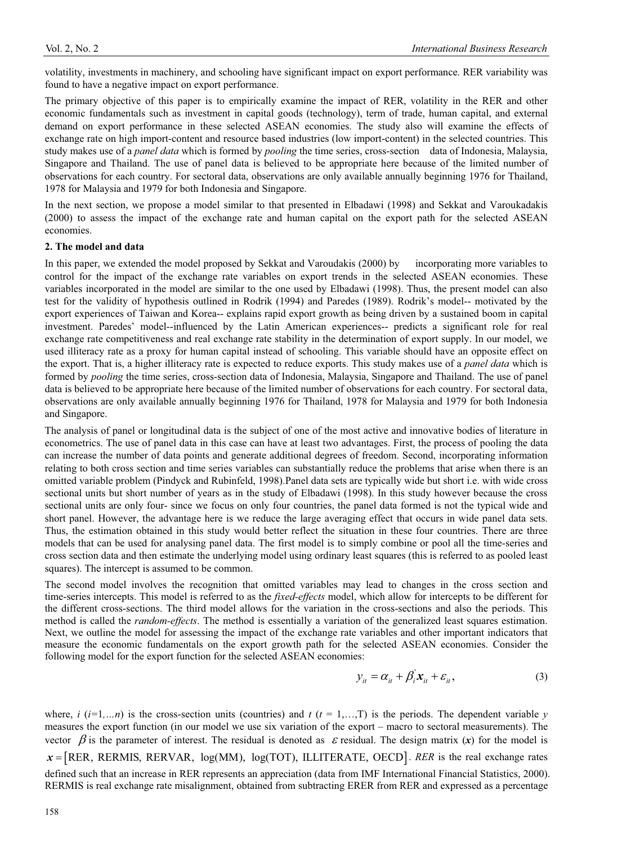volatility, investments in machinery, and schooling have significant impact on export performance. RER variability was found to have a negative impact on export performance.

The primary objective of this paper is to empirically examine the impact of RER, volatility in the RER and other economic fundamentals such as investment in capital goods (technology), term of trade, human capital, and external demand on export performance in these selected ASEAN economies. The study also will examine the effects of exchange rate on high import-content and resource based industries (low import-content) in the selected countries. This study makes use of a *panel data* which is formed by *pooling* the time series, cross-section data of Indonesia, Malaysia, Singapore and Thailand. The use of panel data is believed to be appropriate here because of the limited number of observations for each country. For sectoral data, observations are only available annually beginning 1976 for Thailand, 1978 for Malaysia and 1979 for both Indonesia and Singapore.

In the next section, we propose a model similar to that presented in Elbadawi (1998) and Sekkat and Varoukadakis (2000) to assess the impact of the exchange rate and human capital on the export path for the selected ASEAN economies.

#### **2. The model and data**

In this paper, we extended the model proposed by Sekkat and Varoudakis (2000) by incorporating more variables to control for the impact of the exchange rate variables on export trends in the selected ASEAN economies. These variables incorporated in the model are similar to the one used by Elbadawi (1998). Thus, the present model can also test for the validity of hypothesis outlined in Rodrik (1994) and Paredes (1989). Rodrik's model-- motivated by the export experiences of Taiwan and Korea-- explains rapid export growth as being driven by a sustained boom in capital investment. Paredes' model--influenced by the Latin American experiences-- predicts a significant role for real exchange rate competitiveness and real exchange rate stability in the determination of export supply. In our model, we used illiteracy rate as a proxy for human capital instead of schooling. This variable should have an opposite effect on the export. That is, a higher illiteracy rate is expected to reduce exports. This study makes use of a *panel data* which is formed by *pooling* the time series, cross-section data of Indonesia, Malaysia, Singapore and Thailand. The use of panel data is believed to be appropriate here because of the limited number of observations for each country. For sectoral data, observations are only available annually beginning 1976 for Thailand, 1978 for Malaysia and 1979 for both Indonesia and Singapore.

The analysis of panel or longitudinal data is the subject of one of the most active and innovative bodies of literature in econometrics. The use of panel data in this case can have at least two advantages. First, the process of pooling the data can increase the number of data points and generate additional degrees of freedom. Second, incorporating information relating to both cross section and time series variables can substantially reduce the problems that arise when there is an omitted variable problem (Pindyck and Rubinfeld, 1998).Panel data sets are typically wide but short i.e. with wide cross sectional units but short number of years as in the study of Elbadawi (1998). In this study however because the cross sectional units are only four- since we focus on only four countries, the panel data formed is not the typical wide and short panel. However, the advantage here is we reduce the large averaging effect that occurs in wide panel data sets. Thus, the estimation obtained in this study would better reflect the situation in these four countries. There are three models that can be used for analysing panel data. The first model is to simply combine or pool all the time-series and cross section data and then estimate the underlying model using ordinary least squares (this is referred to as pooled least squares). The intercept is assumed to be common.

The second model involves the recognition that omitted variables may lead to changes in the cross section and time-series intercepts. This model is referred to as the *fixed-effects* model, which allow for intercepts to be different for the different cross-sections. The third model allows for the variation in the cross-sections and also the periods. This method is called the *random-effects*. The method is essentially a variation of the generalized least squares estimation. Next, we outline the model for assessing the impact of the exchange rate variables and other important indicators that measure the economic fundamentals on the export growth path for the selected ASEAN economies. Consider the following model for the export function for the selected ASEAN economies:

$$
y_{it} = \alpha_{it} + \beta_i \mathbf{x}_{it} + \varepsilon_{it},
$$
\n(3)

where,  $i$  ( $i=1,...n$ ) is the cross-section units (countries) and  $t$  ( $t=1,...,T$ ) is the periods. The dependent variable  $\gamma$ measures the export function (in our model we use six variation of the export – macro to sectoral measurements). The vector  $\beta$  is the parameter of interest. The residual is denoted as  $\epsilon$  residual. The design matrix (*x*) for the model is  $x = [RER, RERNIS, RERNAR, log(MM), log(TOT), ILLTERATE, OECD]. RER is the real exchange rates$ defined such that an increase in RER represents an appreciation (data from IMF International Financial Statistics, 2000). RERMIS is real exchange rate misalignment, obtained from subtracting ERER from RER and expressed as a percentage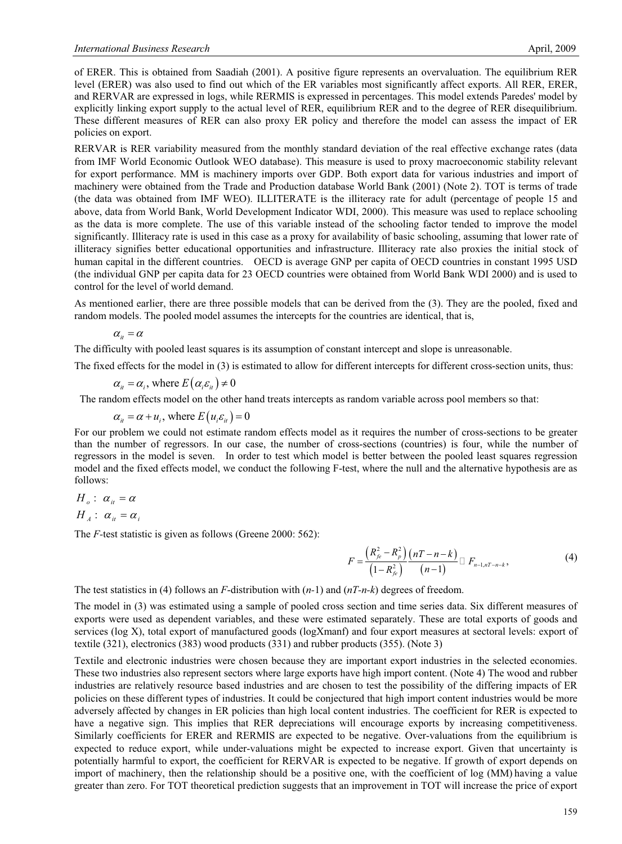#### *International Business Research* April, 2009

of ERER. This is obtained from Saadiah (2001). A positive figure represents an overvaluation. The equilibrium RER level (ERER) was also used to find out which of the ER variables most significantly affect exports. All RER, ERER, and RERVAR are expressed in logs, while RERMIS is expressed in percentages. This model extends Paredes' model by explicitly linking export supply to the actual level of RER, equilibrium RER and to the degree of RER disequilibrium. These different measures of RER can also proxy ER policy and therefore the model can assess the impact of ER policies on export.

RERVAR is RER variability measured from the monthly standard deviation of the real effective exchange rates (data from IMF World Economic Outlook WEO database). This measure is used to proxy macroeconomic stability relevant for export performance. MM is machinery imports over GDP. Both export data for various industries and import of machinery were obtained from the Trade and Production database World Bank (2001) (Note 2). TOT is terms of trade (the data was obtained from IMF WEO). ILLITERATE is the illiteracy rate for adult (percentage of people 15 and above, data from World Bank, World Development Indicator WDI, 2000). This measure was used to replace schooling as the data is more complete. The use of this variable instead of the schooling factor tended to improve the model significantly. Illiteracy rate is used in this case as a proxy for availability of basic schooling, assuming that lower rate of illiteracy signifies better educational opportunities and infrastructure. Illiteracy rate also proxies the initial stock of human capital in the different countries. OECD is average GNP per capita of OECD countries in constant 1995 USD (the individual GNP per capita data for 23 OECD countries were obtained from World Bank WDI 2000) and is used to control for the level of world demand.

As mentioned earlier, there are three possible models that can be derived from the (3). They are the pooled, fixed and random models. The pooled model assumes the intercepts for the countries are identical, that is,

 $\alpha_{ii} = \alpha$ 

The difficulty with pooled least squares is its assumption of constant intercept and slope is unreasonable.

The fixed effects for the model in (3) is estimated to allow for different intercepts for different cross-section units, thus:

$$
\alpha_{ii} = \alpha_i
$$
, where  $E(\alpha_i \varepsilon_{ii}) \neq 0$ 

The random effects model on the other hand treats intercepts as random variable across pool members so that:

 $\alpha_{ii} = \alpha + u_i$ , where  $E(u_i \varepsilon_{ii}) = 0$ 

For our problem we could not estimate random effects model as it requires the number of cross-sections to be greater than the number of regressors. In our case, the number of cross-sections (countries) is four, while the number of regressors in the model is seven. In order to test which model is better between the pooled least squares regression model and the fixed effects model, we conduct the following F-test, where the null and the alternative hypothesis are as follows:

 $H_o$ :  $\alpha_{it} = \alpha$  $H_A$ :  $\alpha_{it} = \alpha_i$ 

The *F-*test statistic is given as follows (Greene 2000: 562):

$$
F = \frac{\left(R_{fe}^2 - R_p^2\right)\left(nT - n - k\right)}{\left(1 - R_{fe}^2\right)\left(n - 1\right)} \square F_{n-1, nT - n - k},\tag{4}
$$

The test statistics in (4) follows an *F*-distribution with (*n-*1) and (*nT-n-k*) degrees of freedom.

The model in (3) was estimated using a sample of pooled cross section and time series data. Six different measures of exports were used as dependent variables, and these were estimated separately. These are total exports of goods and services (log X), total export of manufactured goods (logXmanf) and four export measures at sectoral levels: export of textile (321), electronics (383) wood products (331) and rubber products (355). (Note 3)

Textile and electronic industries were chosen because they are important export industries in the selected economies. These two industries also represent sectors where large exports have high import content. (Note 4) The wood and rubber industries are relatively resource based industries and are chosen to test the possibility of the differing impacts of ER policies on these different types of industries. It could be conjectured that high import content industries would be more adversely affected by changes in ER policies than high local content industries. The coefficient for RER is expected to have a negative sign. This implies that RER depreciations will encourage exports by increasing competitiveness. Similarly coefficients for ERER and RERMIS are expected to be negative. Over-valuations from the equilibrium is expected to reduce export, while under-valuations might be expected to increase export. Given that uncertainty is potentially harmful to export, the coefficient for RERVAR is expected to be negative. If growth of export depends on import of machinery, then the relationship should be a positive one, with the coefficient of log (MM) having a value greater than zero. For TOT theoretical prediction suggests that an improvement in TOT will increase the price of export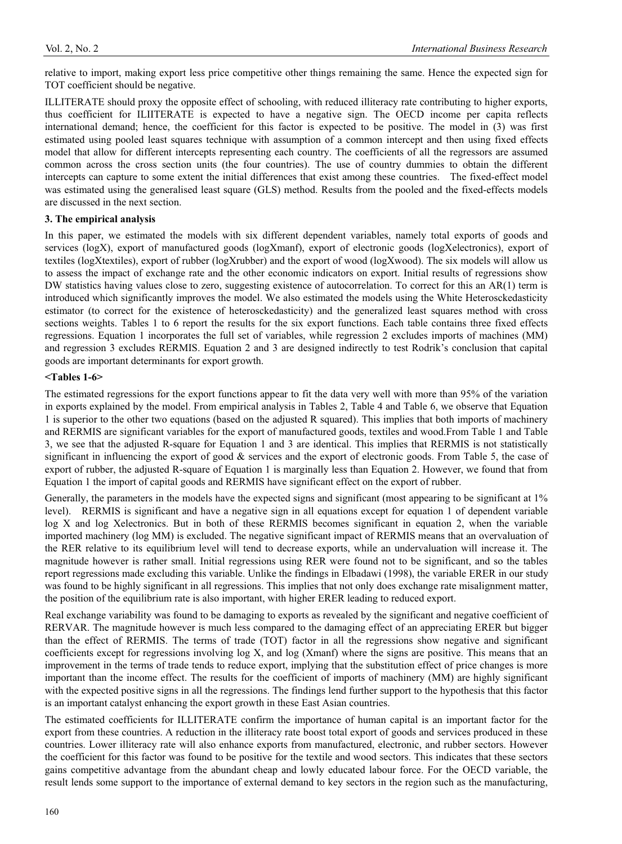relative to import, making export less price competitive other things remaining the same. Hence the expected sign for TOT coefficient should be negative.

ILLITERATE should proxy the opposite effect of schooling, with reduced illiteracy rate contributing to higher exports, thus coefficient for ILIITERATE is expected to have a negative sign. The OECD income per capita reflects international demand; hence, the coefficient for this factor is expected to be positive. The model in (3) was first estimated using pooled least squares technique with assumption of a common intercept and then using fixed effects model that allow for different intercepts representing each country. The coefficients of all the regressors are assumed common across the cross section units (the four countries). The use of country dummies to obtain the different intercepts can capture to some extent the initial differences that exist among these countries. The fixed-effect model was estimated using the generalised least square (GLS) method. Results from the pooled and the fixed-effects models are discussed in the next section.

#### **3. The empirical analysis**

In this paper, we estimated the models with six different dependent variables, namely total exports of goods and services (logX), export of manufactured goods (logXmanf), export of electronic goods (logXelectronics), export of textiles (logXtextiles), export of rubber (logXrubber) and the export of wood (logXwood). The six models will allow us to assess the impact of exchange rate and the other economic indicators on export. Initial results of regressions show DW statistics having values close to zero, suggesting existence of autocorrelation. To correct for this an AR(1) term is introduced which significantly improves the model. We also estimated the models using the White Heterosckedasticity estimator (to correct for the existence of heterosckedasticity) and the generalized least squares method with cross sections weights. Tables 1 to 6 report the results for the six export functions. Each table contains three fixed effects regressions. Equation 1 incorporates the full set of variables, while regression 2 excludes imports of machines (MM) and regression 3 excludes RERMIS. Equation 2 and 3 are designed indirectly to test Rodrik's conclusion that capital goods are important determinants for export growth.

#### **<Tables 1-6>**

The estimated regressions for the export functions appear to fit the data very well with more than 95% of the variation in exports explained by the model. From empirical analysis in Tables 2, Table 4 and Table 6, we observe that Equation 1 is superior to the other two equations (based on the adjusted R squared). This implies that both imports of machinery and RERMIS are significant variables for the export of manufactured goods, textiles and wood.From Table 1 and Table 3, we see that the adjusted R-square for Equation 1 and 3 are identical. This implies that RERMIS is not statistically significant in influencing the export of good & services and the export of electronic goods. From Table 5, the case of export of rubber, the adjusted R-square of Equation 1 is marginally less than Equation 2. However, we found that from Equation 1 the import of capital goods and RERMIS have significant effect on the export of rubber.

Generally, the parameters in the models have the expected signs and significant (most appearing to be significant at 1% level). RERMIS is significant and have a negative sign in all equations except for equation 1 of dependent variable log X and log Xelectronics. But in both of these RERMIS becomes significant in equation 2, when the variable imported machinery (log MM) is excluded. The negative significant impact of RERMIS means that an overvaluation of the RER relative to its equilibrium level will tend to decrease exports, while an undervaluation will increase it. The magnitude however is rather small. Initial regressions using RER were found not to be significant, and so the tables report regressions made excluding this variable. Unlike the findings in Elbadawi (1998), the variable ERER in our study was found to be highly significant in all regressions. This implies that not only does exchange rate misalignment matter, the position of the equilibrium rate is also important, with higher ERER leading to reduced export.

Real exchange variability was found to be damaging to exports as revealed by the significant and negative coefficient of RERVAR. The magnitude however is much less compared to the damaging effect of an appreciating ERER but bigger than the effect of RERMIS. The terms of trade (TOT) factor in all the regressions show negative and significant coefficients except for regressions involving log X, and log (Xmanf) where the signs are positive. This means that an improvement in the terms of trade tends to reduce export, implying that the substitution effect of price changes is more important than the income effect. The results for the coefficient of imports of machinery (MM) are highly significant with the expected positive signs in all the regressions. The findings lend further support to the hypothesis that this factor is an important catalyst enhancing the export growth in these East Asian countries.

The estimated coefficients for ILLITERATE confirm the importance of human capital is an important factor for the export from these countries. A reduction in the illiteracy rate boost total export of goods and services produced in these countries. Lower illiteracy rate will also enhance exports from manufactured, electronic, and rubber sectors. However the coefficient for this factor was found to be positive for the textile and wood sectors. This indicates that these sectors gains competitive advantage from the abundant cheap and lowly educated labour force. For the OECD variable, the result lends some support to the importance of external demand to key sectors in the region such as the manufacturing,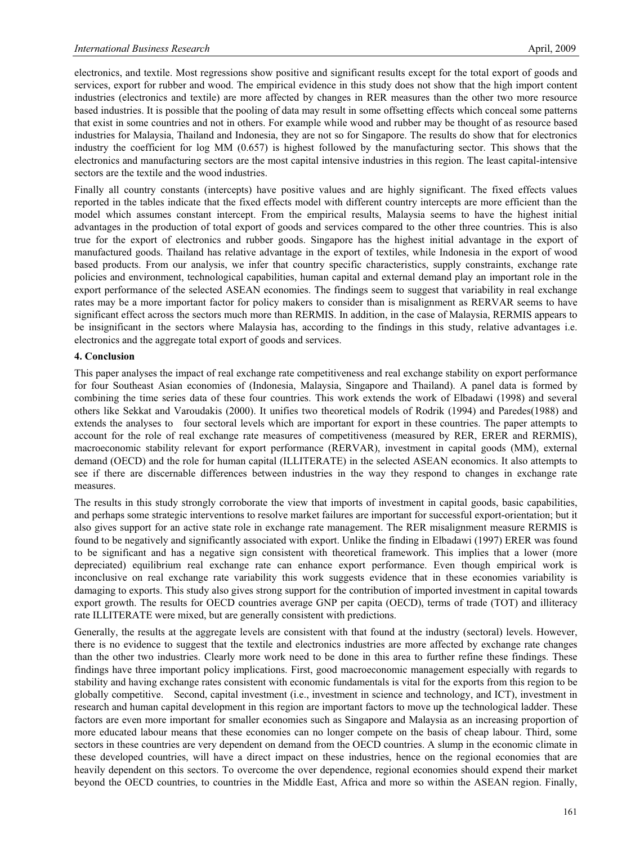electronics, and textile. Most regressions show positive and significant results except for the total export of goods and services, export for rubber and wood. The empirical evidence in this study does not show that the high import content industries (electronics and textile) are more affected by changes in RER measures than the other two more resource based industries. It is possible that the pooling of data may result in some offsetting effects which conceal some patterns that exist in some countries and not in others. For example while wood and rubber may be thought of as resource based industries for Malaysia, Thailand and Indonesia, they are not so for Singapore. The results do show that for electronics industry the coefficient for log MM (0.657) is highest followed by the manufacturing sector. This shows that the electronics and manufacturing sectors are the most capital intensive industries in this region. The least capital-intensive sectors are the textile and the wood industries.

Finally all country constants (intercepts) have positive values and are highly significant. The fixed effects values reported in the tables indicate that the fixed effects model with different country intercepts are more efficient than the model which assumes constant intercept. From the empirical results, Malaysia seems to have the highest initial advantages in the production of total export of goods and services compared to the other three countries. This is also true for the export of electronics and rubber goods. Singapore has the highest initial advantage in the export of manufactured goods. Thailand has relative advantage in the export of textiles, while Indonesia in the export of wood based products. From our analysis, we infer that country specific characteristics, supply constraints, exchange rate policies and environment, technological capabilities, human capital and external demand play an important role in the export performance of the selected ASEAN economies. The findings seem to suggest that variability in real exchange rates may be a more important factor for policy makers to consider than is misalignment as RERVAR seems to have significant effect across the sectors much more than RERMIS. In addition, in the case of Malaysia, RERMIS appears to be insignificant in the sectors where Malaysia has, according to the findings in this study, relative advantages i.e. electronics and the aggregate total export of goods and services.

#### **4. Conclusion**

This paper analyses the impact of real exchange rate competitiveness and real exchange stability on export performance for four Southeast Asian economies of (Indonesia, Malaysia, Singapore and Thailand). A panel data is formed by combining the time series data of these four countries. This work extends the work of Elbadawi (1998) and several others like Sekkat and Varoudakis (2000). It unifies two theoretical models of Rodrik (1994) and Paredes(1988) and extends the analyses to four sectoral levels which are important for export in these countries. The paper attempts to account for the role of real exchange rate measures of competitiveness (measured by RER, ERER and RERMIS), macroeconomic stability relevant for export performance (RERVAR), investment in capital goods (MM), external demand (OECD) and the role for human capital (ILLITERATE) in the selected ASEAN economics. It also attempts to see if there are discernable differences between industries in the way they respond to changes in exchange rate measures.

The results in this study strongly corroborate the view that imports of investment in capital goods, basic capabilities, and perhaps some strategic interventions to resolve market failures are important for successful export-orientation; but it also gives support for an active state role in exchange rate management. The RER misalignment measure RERMIS is found to be negatively and significantly associated with export. Unlike the finding in Elbadawi (1997) ERER was found to be significant and has a negative sign consistent with theoretical framework. This implies that a lower (more depreciated) equilibrium real exchange rate can enhance export performance. Even though empirical work is inconclusive on real exchange rate variability this work suggests evidence that in these economies variability is damaging to exports. This study also gives strong support for the contribution of imported investment in capital towards export growth. The results for OECD countries average GNP per capita (OECD), terms of trade (TOT) and illiteracy rate ILLITERATE were mixed, but are generally consistent with predictions.

Generally, the results at the aggregate levels are consistent with that found at the industry (sectoral) levels. However, there is no evidence to suggest that the textile and electronics industries are more affected by exchange rate changes than the other two industries. Clearly more work need to be done in this area to further refine these findings. These findings have three important policy implications. First, good macroeconomic management especially with regards to stability and having exchange rates consistent with economic fundamentals is vital for the exports from this region to be globally competitive. Second, capital investment (i.e., investment in science and technology, and ICT), investment in research and human capital development in this region are important factors to move up the technological ladder. These factors are even more important for smaller economies such as Singapore and Malaysia as an increasing proportion of more educated labour means that these economies can no longer compete on the basis of cheap labour. Third, some sectors in these countries are very dependent on demand from the OECD countries. A slump in the economic climate in these developed countries, will have a direct impact on these industries, hence on the regional economies that are heavily dependent on this sectors. To overcome the over dependence, regional economies should expend their market beyond the OECD countries, to countries in the Middle East, Africa and more so within the ASEAN region. Finally,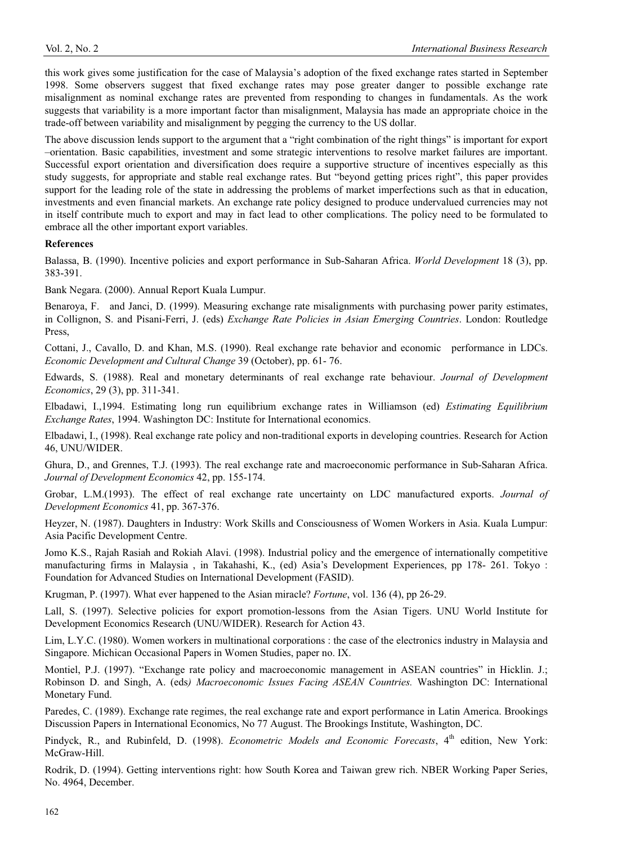this work gives some justification for the case of Malaysia's adoption of the fixed exchange rates started in September 1998. Some observers suggest that fixed exchange rates may pose greater danger to possible exchange rate misalignment as nominal exchange rates are prevented from responding to changes in fundamentals. As the work suggests that variability is a more important factor than misalignment, Malaysia has made an appropriate choice in the trade-off between variability and misalignment by pegging the currency to the US dollar.

The above discussion lends support to the argument that a "right combination of the right things" is important for export –orientation. Basic capabilities, investment and some strategic interventions to resolve market failures are important. Successful export orientation and diversification does require a supportive structure of incentives especially as this study suggests, for appropriate and stable real exchange rates. But "beyond getting prices right", this paper provides support for the leading role of the state in addressing the problems of market imperfections such as that in education, investments and even financial markets. An exchange rate policy designed to produce undervalued currencies may not in itself contribute much to export and may in fact lead to other complications. The policy need to be formulated to embrace all the other important export variables.

#### **References**

Balassa, B. (1990). Incentive policies and export performance in Sub-Saharan Africa. *World Development* 18 (3), pp. 383-391.

Bank Negara. (2000). Annual Report Kuala Lumpur.

Benaroya, F. and Janci, D. (1999). Measuring exchange rate misalignments with purchasing power parity estimates, in Collignon, S. and Pisani-Ferri, J. (eds) *Exchange Rate Policies in Asian Emerging Countries*. London: Routledge Press,

Cottani, J., Cavallo, D. and Khan, M.S. (1990). Real exchange rate behavior and economic performance in LDCs. *Economic Development and Cultural Change* 39 (October), pp. 61- 76.

Edwards, S. (1988). Real and monetary determinants of real exchange rate behaviour. *Journal of Development Economics*, 29 (3), pp. 311-341.

Elbadawi, I.,1994. Estimating long run equilibrium exchange rates in Williamson (ed) *Estimating Equilibrium Exchange Rates*, 1994. Washington DC: Institute for International economics.

Elbadawi, I., (1998). Real exchange rate policy and non-traditional exports in developing countries. Research for Action 46, UNU/WIDER.

Ghura, D., and Grennes, T.J. (1993). The real exchange rate and macroeconomic performance in Sub-Saharan Africa. *Journal of Development Economics* 42, pp. 155-174.

Grobar, L.M.(1993). The effect of real exchange rate uncertainty on LDC manufactured exports. *Journal of Development Economics* 41, pp. 367-376.

Heyzer, N. (1987). Daughters in Industry: Work Skills and Consciousness of Women Workers in Asia. Kuala Lumpur: Asia Pacific Development Centre.

Jomo K.S., Rajah Rasiah and Rokiah Alavi. (1998). Industrial policy and the emergence of internationally competitive manufacturing firms in Malaysia , in Takahashi, K., (ed) Asia's Development Experiences, pp 178- 261. Tokyo : Foundation for Advanced Studies on International Development (FASID).

Krugman, P. (1997). What ever happened to the Asian miracle? *Fortune*, vol. 136 (4), pp 26-29.

Lall, S. (1997). Selective policies for export promotion-lessons from the Asian Tigers. UNU World Institute for Development Economics Research (UNU/WIDER). Research for Action 43.

Lim, L.Y.C. (1980). Women workers in multinational corporations : the case of the electronics industry in Malaysia and Singapore. Michican Occasional Papers in Women Studies, paper no. IX.

Montiel, P.J. (1997). "Exchange rate policy and macroeconomic management in ASEAN countries" in Hicklin. J.; Robinson D. and Singh, A. (eds*) Macroeconomic Issues Facing ASEAN Countries.* Washington DC: International Monetary Fund.

Paredes, C. (1989). Exchange rate regimes, the real exchange rate and export performance in Latin America. Brookings Discussion Papers in International Economics, No 77 August. The Brookings Institute, Washington, DC.

Pindyck, R., and Rubinfeld, D. (1998). *Econometric Models and Economic Forecasts*, 4<sup>th</sup> edition, New York: McGraw-Hill.

Rodrik, D. (1994). Getting interventions right: how South Korea and Taiwan grew rich. NBER Working Paper Series, No. 4964, December.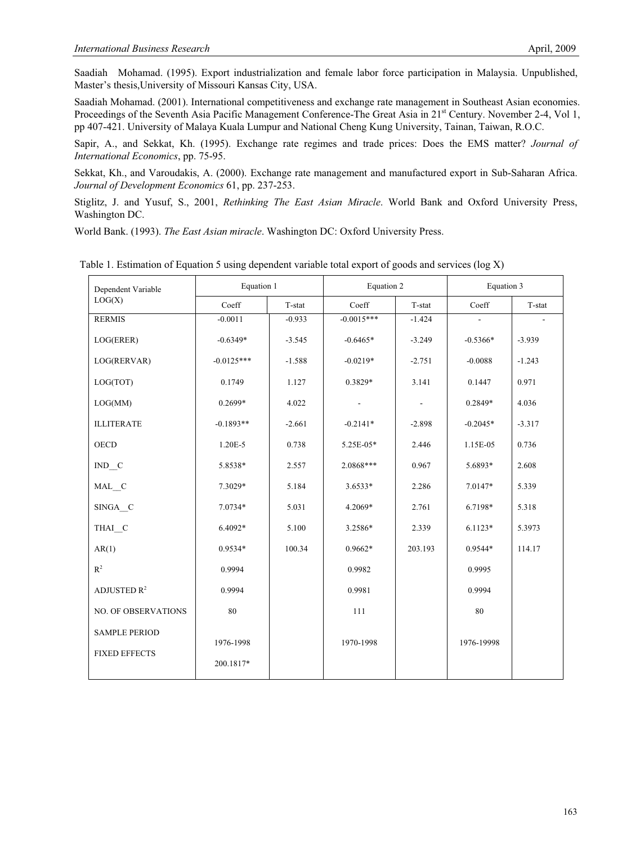Saadiah Mohamad. (1995). Export industrialization and female labor force participation in Malaysia. Unpublished, Master's thesis,University of Missouri Kansas City, USA.

Saadiah Mohamad. (2001). International competitiveness and exchange rate management in Southeast Asian economies. Proceedings of the Seventh Asia Pacific Management Conference-The Great Asia in 21<sup>st</sup> Century. November 2-4, Vol 1, pp 407-421. University of Malaya Kuala Lumpur and National Cheng Kung University, Tainan, Taiwan, R.O.C.

Sapir, A., and Sekkat, Kh. (1995). Exchange rate regimes and trade prices: Does the EMS matter? *Journal of International Economics*, pp. 75-95.

Sekkat, Kh., and Varoudakis, A. (2000). Exchange rate management and manufactured export in Sub-Saharan Africa. *Journal of Development Economics* 61, pp. 237-253.

Stiglitz, J. and Yusuf, S., 2001, *Rethinking The East Asian Miracle*. World Bank and Oxford University Press, Washington DC.

World Bank. (1993). *The East Asian miracle*. Washington DC: Oxford University Press.

| Dependent Variable                           | Equation 1             |          | Equation 2   |          | Equation 3 |          |
|----------------------------------------------|------------------------|----------|--------------|----------|------------|----------|
| LOG(X)                                       | Coeff                  | T-stat   | Coeff        | T-stat   | Coeff      | T-stat   |
| <b>RERMIS</b>                                | $-0.0011$              | $-0.933$ | $-0.0015***$ | $-1.424$ |            |          |
| LOG(ERER)                                    | $-0.6349*$             | $-3.545$ | $-0.6465*$   | $-3.249$ | $-0.5366*$ | $-3.939$ |
| LOG(RERVAR)                                  | $-0.0125***$           | $-1.588$ | $-0.0219*$   | $-2.751$ | $-0.0088$  | $-1.243$ |
| LOG(TOT)                                     | 0.1749                 | 1.127    | $0.3829*$    | 3.141    | 0.1447     | 0.971    |
| LOG(MM)                                      | $0.2699*$              | 4.022    |              |          | 0.2849*    | 4.036    |
| <b>ILLITERATE</b>                            | $-0.1893**$            | $-2.661$ | $-0.2141*$   | $-2.898$ | $-0.2045*$ | $-3.317$ |
| OECD                                         | 1.20E-5                | 0.738    | 5.25E-05*    | 2.446    | 1.15E-05   | 0.736    |
| $IND_C$                                      | 5.8538*                | 2.557    | 2.0868***    | 0.967    | 5.6893*    | 2.608    |
| $MAL$ <sup><math>C</math></sup>              | 7.3029*                | 5.184    | $3.6533*$    | 2.286    | 7.0147*    | 5.339    |
| SINGA C                                      | 7.0734*                | 5.031    | 4.2069*      | 2.761    | 6.7198*    | 5.318    |
| THAI_C                                       | 6.4092*                | 5.100    | 3.2586*      | 2.339    | $6.1123*$  | 5.3973   |
| AR(1)                                        | 0.9534*                | 100.34   | $0.9662*$    | 203.193  | 0.9544*    | 114.17   |
| $\mathbb{R}^2$                               | 0.9994                 |          | 0.9982       |          | 0.9995     |          |
| ADJUSTED $R^2$                               | 0.9994                 |          | 0.9981       |          | 0.9994     |          |
| NO. OF OBSERVATIONS                          | 80                     |          | 111          |          | 80         |          |
| <b>SAMPLE PERIOD</b><br><b>FIXED EFFECTS</b> | 1976-1998<br>200.1817* |          | 1970-1998    |          | 1976-19998 |          |

| Table 1. Estimation of Equation 5 using dependent variable total export of goods and services (log X) |  |
|-------------------------------------------------------------------------------------------------------|--|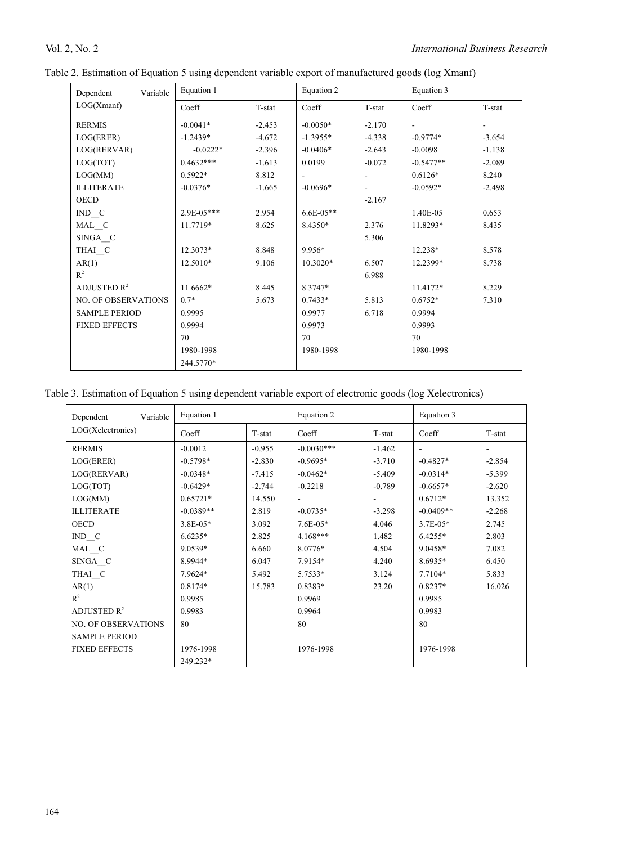| Variable<br>Dependent      | Equation 1    |          | Equation 2     |                          | Equation 3               |                          |
|----------------------------|---------------|----------|----------------|--------------------------|--------------------------|--------------------------|
| LOG(Xmanf)                 | Coeff         | T-stat   | Coeff          | T-stat                   | Coeff                    | T-stat                   |
| <b>RERMIS</b>              | $-0.0041*$    | $-2.453$ | $-0.0050*$     | $-2.170$                 | $\overline{\phantom{a}}$ | $\overline{\phantom{a}}$ |
| LOG(ERER)                  | $-1.2439*$    | $-4.672$ | $-1.3955*$     | $-4.338$                 | $-0.9774*$               | $-3.654$                 |
| LOG(RERVAR)                | $-0.0222*$    | $-2.396$ | $-0.0406*$     | $-2.643$                 | $-0.0098$                | $-1.138$                 |
| LOG(TOT)                   | $0.4632***$   | $-1.613$ | 0.0199         | $-0.072$                 | $-0.5477**$              | $-2.089$                 |
| LOG(MM)                    | $0.5922*$     | 8.812    | $\blacksquare$ | $\overline{\phantom{a}}$ | $0.6126*$                | 8.240                    |
| <b>ILLITERATE</b>          | $-0.0376*$    | $-1.665$ | $-0.0696*$     | $\overline{\phantom{a}}$ | $-0.0592*$               | $-2.498$                 |
| <b>OECD</b>                |               |          |                | $-2.167$                 |                          |                          |
| IND C                      | $2.9E-0.5***$ | 2.954    | $6.6E-05**$    |                          | 1.40E-05                 | 0.653                    |
| MAL C                      | 11.7719*      | 8.625    | 8.4350*        | 2.376                    | 11.8293*                 | 8.435                    |
| SINGA C                    |               |          |                | 5.306                    |                          |                          |
| THAI C                     | 12.3073*      | 8.848    | 9.956*         |                          | 12.238*                  | 8.578                    |
| AR(1)                      | 12.5010*      | 9.106    | $10.3020*$     | 6.507                    | 12.2399*                 | 8.738                    |
| $R^2$                      |               |          |                | 6.988                    |                          |                          |
| ADJUSTED $\mathbb{R}^2$    | $11.6662*$    | 8.445    | 8.3747*        |                          | 11.4172*                 | 8.229                    |
| <b>NO. OF OBSERVATIONS</b> | $0.7*$        | 5.673    | $0.7433*$      | 5.813                    | $0.6752*$                | 7.310                    |
| <b>SAMPLE PERIOD</b>       | 0.9995        |          | 0.9977         | 6.718                    | 0.9994                   |                          |
| <b>FIXED EFFECTS</b>       | 0.9994        |          | 0.9973         |                          | 0.9993                   |                          |
|                            | 70            |          | 70             |                          | 70                       |                          |
|                            | 1980-1998     |          | 1980-1998      |                          | 1980-1998                |                          |
|                            | 244.5770*     |          |                |                          |                          |                          |

|  |  | Table 2. Estimation of Equation 5 using dependent variable export of manufactured goods (log Xmanf) |  |
|--|--|-----------------------------------------------------------------------------------------------------|--|
|  |  |                                                                                                     |  |

# Table 3. Estimation of Equation 5 using dependent variable export of electronic goods (log Xelectronics)

| Variable<br>Dependent      | Equation 1  |          | Equation 2   |          | Equation 3     |                          |
|----------------------------|-------------|----------|--------------|----------|----------------|--------------------------|
| LOG(Xelectronics)          | Coeff       | T-stat   | Coeff        | T-stat   | Coeff          | T-stat                   |
| <b>RERMIS</b>              | $-0.0012$   | $-0.955$ | $-0.0030***$ | $-1.462$ | $\blacksquare$ | $\overline{\phantom{a}}$ |
| LOG(ERER)                  | $-0.5798*$  | $-2.830$ | $-0.9695*$   | $-3.710$ | $-0.4827*$     | $-2.854$                 |
| LOG(RERVAR)                | $-0.0348*$  | $-7.415$ | $-0.0462*$   | $-5.409$ | $-0.0314*$     | $-5.399$                 |
| LOG(TOT)                   | $-0.6429*$  | $-2.744$ | $-0.2218$    | $-0.789$ | $-0.6657*$     | $-2.620$                 |
| LOG(MM)                    | $0.65721*$  | 14.550   |              |          | $0.6712*$      | 13.352                   |
| <b>ILLITERATE</b>          | $-0.0389**$ | 2.819    | $-0.0735*$   | $-3.298$ | $-0.0409**$    | $-2.268$                 |
| <b>OECD</b>                | $3.8E-05*$  | 3.092    | $7.6E-05*$   | 4.046    | $3.7E-05*$     | 2.745                    |
| IND C                      | $6.6235*$   | 2.825    | $4.168***$   | 1.482    | $6.4255*$      | 2.803                    |
| MAL C                      | $9.0539*$   | 6.660    | 8.0776*      | 4.504    | 9.0458*        | 7.082                    |
| SINGA C                    | 8.9944*     | 6.047    | 7.9154*      | 4.240    | 8.6935*        | 6.450                    |
| THAI C                     | 7.9624*     | 5.492    | 5.7533*      | 3.124    | 7.7104*        | 5.833                    |
| AR(1)                      | $0.8174*$   | 15.783   | $0.8383*$    | 23.20    | $0.8237*$      | 16.026                   |
| $R^2$                      | 0.9985      |          | 0.9969       |          | 0.9985         |                          |
| ADJUSTED $\mathbb{R}^2$    | 0.9983      |          | 0.9964       |          | 0.9983         |                          |
| <b>NO. OF OBSERVATIONS</b> | 80          |          | 80           |          | 80             |                          |
| <b>SAMPLE PERIOD</b>       |             |          |              |          |                |                          |
| <b>FIXED EFFECTS</b>       | 1976-1998   |          | 1976-1998    |          | 1976-1998      |                          |
|                            | 249.232*    |          |              |          |                |                          |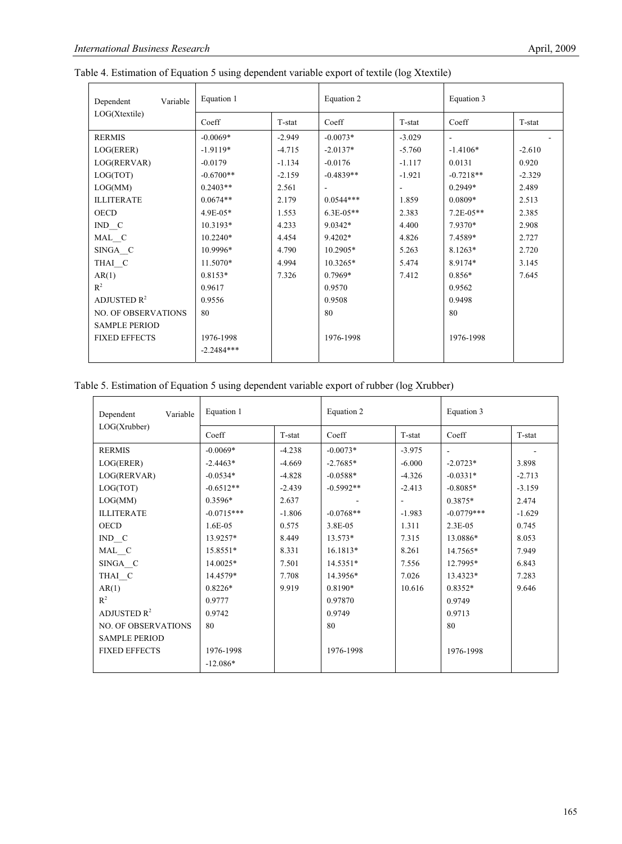|  |  |  | Table 4. Estimation of Equation 5 using dependent variable export of textile (log Xtextile) |  |
|--|--|--|---------------------------------------------------------------------------------------------|--|
|--|--|--|---------------------------------------------------------------------------------------------|--|

| Variable<br>Dependent      | Equation 1   |          | Equation 2                   |                          | Equation 3               |          |
|----------------------------|--------------|----------|------------------------------|--------------------------|--------------------------|----------|
| LOG(Xtextile)              | Coeff        | T-stat   | Coeff                        | T-stat                   | Coeff                    | T-stat   |
| <b>RERMIS</b>              | $-0.0069*$   | $-2.949$ | $-0.0073*$                   | $-3.029$                 | $\overline{\phantom{a}}$ |          |
| LOG(ERER)                  | $-1.9119*$   | $-4.715$ | $-2.0137*$                   | $-5.760$                 | $-1.4106*$               | $-2.610$ |
| LOG(RERVAR)                | $-0.0179$    | $-1.134$ | $-0.0176$                    | $-1.117$                 | 0.0131                   | 0.920    |
| LOG(TOT)                   | $-0.6700**$  | $-2.159$ | $-0.4839**$                  | $-1.921$                 | $-0.7218**$              | $-2.329$ |
| LOG(MM)                    | $0.2403**$   | 2.561    | $\qquad \qquad \blacksquare$ | $\overline{\phantom{a}}$ | $0.2949*$                | 2.489    |
| <b>ILLITERATE</b>          | $0.0674**$   | 2.179    | $0.0544***$                  | 1.859                    | $0.0809*$                | 2.513    |
| <b>OECD</b>                | $4.9E-05*$   | 1.553    | $6.3E-05**$                  | 2.383                    | $7.2E - 05**$            | 2.385    |
| IND C                      | $10.3193*$   | 4.233    | $9.0342*$                    | 4.400                    | 7.9370*                  | 2.908    |
| MAL C                      | $10.2240*$   | 4.454    | $9.4202*$                    | 4.826                    | 7.4589*                  | 2.727    |
| SINGA C                    | 10.9996*     | 4.790    | $10.2905*$                   | 5.263                    | $8.1263*$                | 2.720    |
| THAI_C                     | 11.5070*     | 4.994    | $10.3265*$                   | 5.474                    | 8.9174*                  | 3.145    |
| AR(1)                      | $0.8153*$    | 7.326    | $0.7969*$                    | 7.412                    | $0.856*$                 | 7.645    |
| $R^2$                      | 0.9617       |          | 0.9570                       |                          | 0.9562                   |          |
| ADJUSTED $\mathbb{R}^2$    | 0.9556       |          | 0.9508                       |                          | 0.9498                   |          |
| <b>NO. OF OBSERVATIONS</b> | 80           |          | 80                           |                          | 80                       |          |
| <b>SAMPLE PERIOD</b>       |              |          |                              |                          |                          |          |
| <b>FIXED EFFECTS</b>       | 1976-1998    |          | 1976-1998                    |                          | 1976-1998                |          |
|                            | $-2.2484***$ |          |                              |                          |                          |          |

# Table 5. Estimation of Equation 5 using dependent variable export of rubber (log Xrubber)

| Dependent<br>Variable      | Equation 1   |          | Equation 2  |          | Equation 3     |          |
|----------------------------|--------------|----------|-------------|----------|----------------|----------|
| LOG(Xrubber)               | Coeff        | T-stat   | Coeff       | T-stat   | Coeff          | T-stat   |
| <b>RERMIS</b>              | $-0.0069*$   | $-4.238$ | $-0.0073*$  | $-3.975$ | $\blacksquare$ |          |
| LOG(ERER)                  | $-2.4463*$   | $-4.669$ | $-2.7685*$  | $-6.000$ | $-2.0723*$     | 3.898    |
| LOG(RERVAR)                | $-0.0534*$   | $-4.828$ | $-0.0588*$  | $-4.326$ | $-0.0331*$     | $-2.713$ |
| LOG(TOT)                   | $-0.6512**$  | $-2.439$ | $-0.5992**$ | $-2.413$ | $-0.8085*$     | $-3.159$ |
| LOG(MM)                    | $0.3596*$    | 2.637    |             | ٠        | $0.3875*$      | 2.474    |
| <b>ILLITERATE</b>          | $-0.0715***$ | $-1.806$ | $-0.0768**$ | $-1.983$ | $-0.0779***$   | $-1.629$ |
| <b>OECD</b>                | 1.6E-05      | 0.575    | 3.8E-05     | 1.311    | 2.3E-05        | 0.745    |
| IND C                      | 13.9257*     | 8.449    | $13.573*$   | 7.315    | 13.0886*       | 8.053    |
| MAL C                      | 15.8551*     | 8.331    | $16.1813*$  | 8.261    | 14.7565*       | 7.949    |
| SINGA C                    | 14.0025*     | 7.501    | 14.5351*    | 7.556    | 12.7995*       | 6.843    |
| THAI C                     | 14.4579*     | 7.708    | 14.3956*    | 7.026    | 13.4323*       | 7.283    |
| AR(1)                      | $0.8226*$    | 9.919    | 0.8190*     | 10.616   | 0.8352*        | 9.646    |
| $R^2$                      | 0.9777       |          | 0.97870     |          | 0.9749         |          |
| ADJUSTED $\mathbb{R}^2$    | 0.9742       |          | 0.9749      |          | 0.9713         |          |
| <b>NO. OF OBSERVATIONS</b> | 80           |          | 80          |          | 80             |          |
| <b>SAMPLE PERIOD</b>       |              |          |             |          |                |          |
| <b>FIXED EFFECTS</b>       | 1976-1998    |          | 1976-1998   |          | 1976-1998      |          |
|                            | $-12.086*$   |          |             |          |                |          |